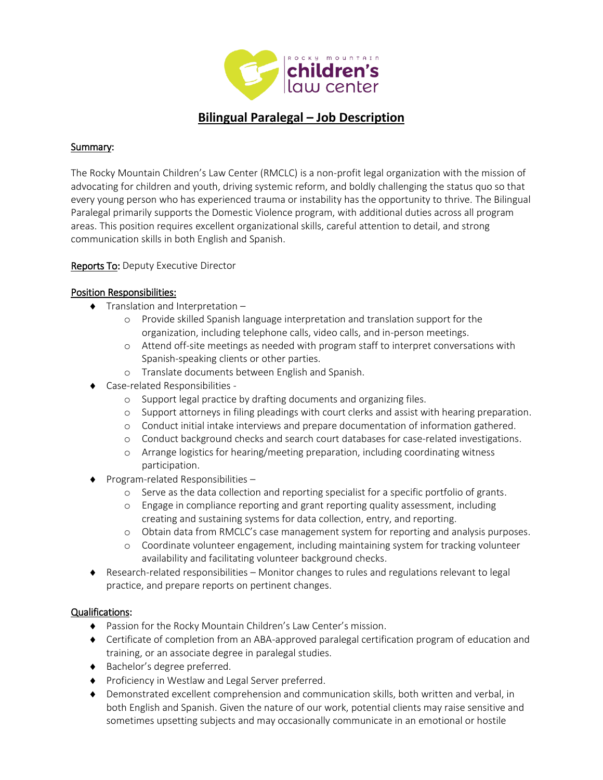

# **Bilingual Paralegal – Job Description**

#### Summary:

The Rocky Mountain Children's Law Center (RMCLC) is a non-profit legal organization with the mission of advocating for children and youth, driving systemic reform, and boldly challenging the status quo so that every young person who has experienced trauma or instability has the opportunity to thrive. The Bilingual Paralegal primarily supports the Domestic Violence program, with additional duties across all program areas. This position requires excellent organizational skills, careful attention to detail, and strong communication skills in both English and Spanish.

### Reports To: Deputy Executive Director

### Position Responsibilities:

- $\bullet$  Translation and Interpretation  $$ 
	- o Provide skilled Spanish language interpretation and translation support for the organization, including telephone calls, video calls, and in-person meetings.
	- o Attend off-site meetings as needed with program staff to interpret conversations with Spanish-speaking clients or other parties.
	- o Translate documents between English and Spanish.
- Case-related Responsibilities
	- o Support legal practice by drafting documents and organizing files.
	- o Support attorneys in filing pleadings with court clerks and assist with hearing preparation.
	- o Conduct initial intake interviews and prepare documentation of information gathered.
	- o Conduct background checks and search court databases for case-related investigations.
	- o Arrange logistics for hearing/meeting preparation, including coordinating witness participation.
- ◆ Program-related Responsibilities
	- o Serve as the data collection and reporting specialist for a specific portfolio of grants.
	- o Engage in compliance reporting and grant reporting quality assessment, including creating and sustaining systems for data collection, entry, and reporting.
	- o Obtain data from RMCLC's case management system for reporting and analysis purposes.
	- o Coordinate volunteer engagement, including maintaining system for tracking volunteer availability and facilitating volunteer background checks.
- Research-related responsibilities Monitor changes to rules and regulations relevant to legal practice, and prepare reports on pertinent changes.

## Qualifications:

- Passion for the Rocky Mountain Children's Law Center's mission.
- Certificate of completion from an ABA-approved paralegal certification program of education and training, or an associate degree in paralegal studies.
- ◆ Bachelor's degree preferred.
- ◆ Proficiency in Westlaw and Legal Server preferred.
- Demonstrated excellent comprehension and communication skills, both written and verbal, in both English and Spanish. Given the nature of our work, potential clients may raise sensitive and sometimes upsetting subjects and may occasionally communicate in an emotional or hostile